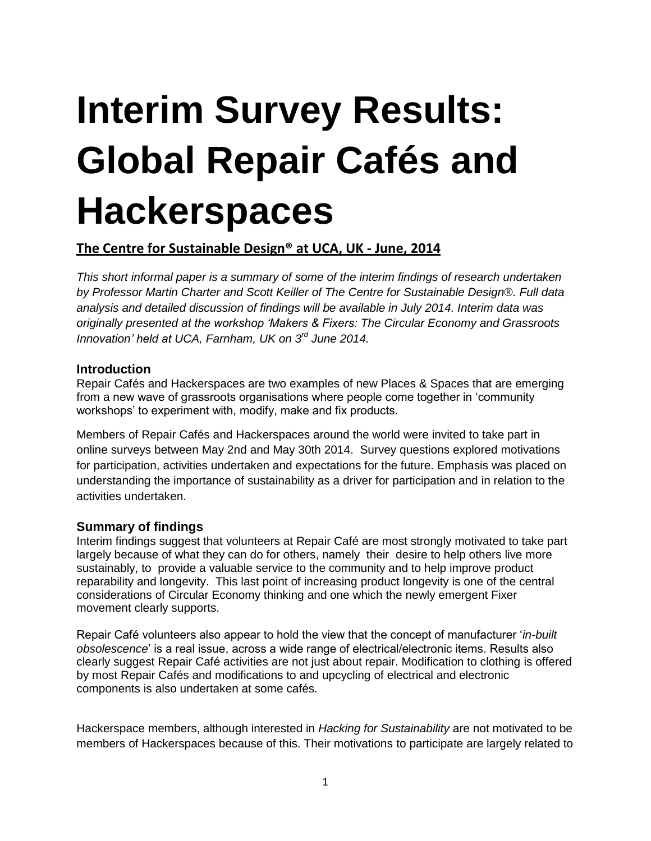# **Interim Survey Results: Global Repair Cafés and Hackerspaces**

## **The Centre for Sustainable Design® at UCA, UK - June, 2014**

*This short informal paper is a summary of some of the interim findings of research undertaken by Professor Martin Charter and Scott Keiller of The Centre for Sustainable Design®. Full data analysis and detailed discussion of findings will be available in July 2014. Interim data was originally presented at the workshop 'Makers & Fixers: The Circular Economy and Grassroots Innovation' held at UCA, Farnham, UK on 3rd June 2014.*

#### **Introduction**

Repair Cafés and Hackerspaces are two examples of new Places & Spaces that are emerging from a new wave of grassroots organisations where people come together in 'community workshops' to experiment with, modify, make and fix products.

Members of Repair Cafés and Hackerspaces around the world were invited to take part in online surveys between May 2nd and May 30th 2014. Survey questions explored motivations for participation, activities undertaken and expectations for the future. Emphasis was placed on understanding the importance of sustainability as a driver for participation and in relation to the activities undertaken.

#### **Summary of findings**

Interim findings suggest that volunteers at Repair Café are most strongly motivated to take part largely because of what they can do for others, namely their desire to help others live more sustainably, to provide a valuable service to the community and to help improve product reparability and longevity. This last point of increasing product longevity is one of the central considerations of Circular Economy thinking and one which the newly emergent Fixer movement clearly supports.

Repair Café volunteers also appear to hold the view that the concept of manufacturer '*in-built obsolescence*' is a real issue, across a wide range of electrical/electronic items. Results also clearly suggest Repair Café activities are not just about repair. Modification to clothing is offered by most Repair Cafés and modifications to and upcycling of electrical and electronic components is also undertaken at some cafés.

Hackerspace members, although interested in *Hacking for Sustainability* are not motivated to be members of Hackerspaces because of this. Their motivations to participate are largely related to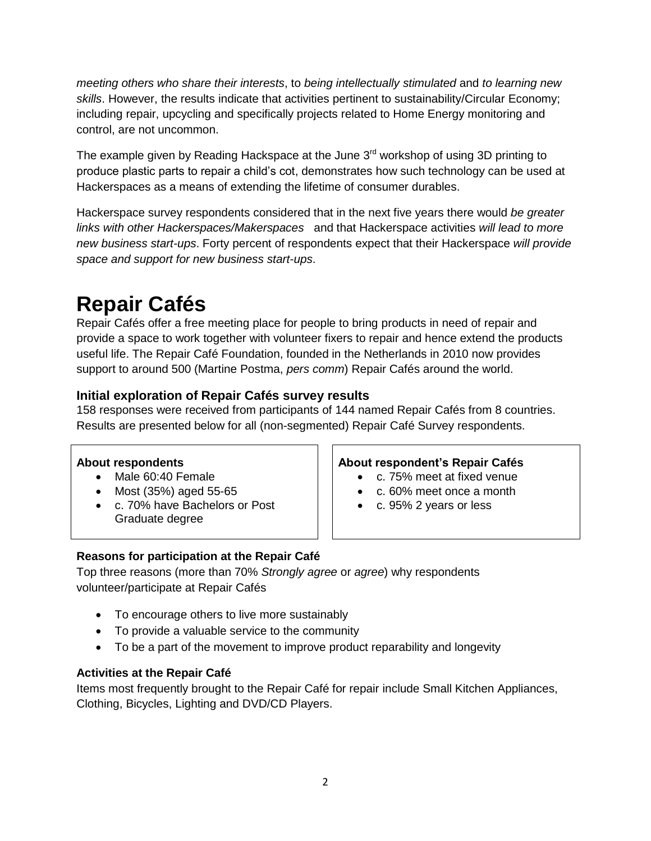*meeting others who share their interests*, to *being intellectually stimulated* and *to learning new skills*. However, the results indicate that activities pertinent to sustainability/Circular Economy; including repair, upcycling and specifically projects related to Home Energy monitoring and control, are not uncommon.

The example given by Reading Hackspace at the June  $3<sup>rd</sup>$  workshop of using 3D printing to produce plastic parts to repair a child's cot, demonstrates how such technology can be used at Hackerspaces as a means of extending the lifetime of consumer durables.

Hackerspace survey respondents considered that in the next five years there would *be greater links with other Hackerspaces/Makerspaces* and that Hackerspace activities *will lead to more new business start-ups*. Forty percent of respondents expect that their Hackerspace *will provide space and support for new business start-ups*.

# **Repair Cafés**

Repair Cafés offer a free meeting place for people to bring products in need of repair and provide a space to work together with volunteer fixers to repair and hence extend the products useful life. The Repair Café Foundation, founded in the Netherlands in 2010 now provides support to around 500 (Martine Postma, *pers comm*) Repair Cafés around the world.

### **Initial exploration of Repair Cafés survey results**

158 responses were received from participants of 144 named Repair Cafés from 8 countries. Results are presented below for all (non-segmented) Repair Café Survey respondents.

- 
- 
- c. 70% have Bachelors or Post Graduate degree

#### **About respondents About respondent's Repair Cafés**

- Male 60:40 Female **c. 75% meet at fixed venue**
- Most  $(35%)$  aged 55-65  $\vert \ \vert$  c. 60% meet once a month
	- c. 95% 2 years or less

#### **Reasons for participation at the Repair Café**

Top three reasons (more than 70% *Strongly agree* or *agree*) why respondents volunteer/participate at Repair Cafés

- To encourage others to live more sustainably
- To provide a valuable service to the community
- To be a part of the movement to improve product reparability and longevity

#### **Activities at the Repair Café**

Items most frequently brought to the Repair Café for repair include Small Kitchen Appliances, Clothing, Bicycles, Lighting and DVD/CD Players.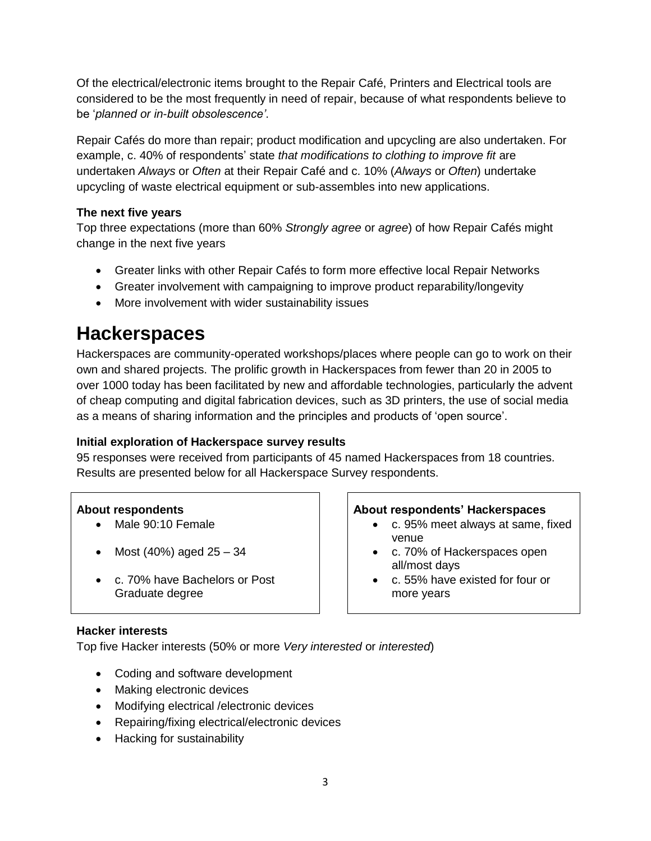Of the electrical/electronic items brought to the Repair Café, Printers and Electrical tools are considered to be the most frequently in need of repair, because of what respondents believe to be '*planned or in-built obsolescence'*.

Repair Cafés do more than repair; product modification and upcycling are also undertaken. For example, c. 40% of respondents' state *that modifications to clothing to improve fit* are undertaken *Always* or *Often* at their Repair Café and c. 10% (*Always* or *Often*) undertake upcycling of waste electrical equipment or sub-assembles into new applications.

#### **The next five years**

Top three expectations (more than 60% *Strongly agree* or *agree*) of how Repair Cafés might change in the next five years

- Greater links with other Repair Cafés to form more effective local Repair Networks
- Greater involvement with campaigning to improve product reparability/longevity
- More involvement with wider sustainability issues

## **Hackerspaces**

Hackerspaces are community-operated workshops/places where people can go to work on their own and shared projects. The prolific growth in Hackerspaces from fewer than 20 in 2005 to over 1000 today has been facilitated by new and affordable technologies, particularly the advent of cheap computing and digital fabrication devices, such as 3D printers, the use of social media as a means of sharing information and the principles and products of 'open source'.

#### **Initial exploration of Hackerspace survey results**

95 responses were received from participants of 45 named Hackerspaces from 18 countries. Results are presented below for all Hackerspace Survey respondents.

- 
- 
- c. 70% have Bachelors or Post Graduate degree

#### **About respondents About respondents' Hackerspaces**

- Male 90:10 Female **c. 95% meet always at same, fixed** venue
- Most (40%) aged  $25 34$   $\vert$   $\vert$  c. 70% of Hackerspaces open all/most days
	- c. 55% have existed for four or more years

#### **Hacker interests**

Top five Hacker interests (50% or more *Very interested* or *interested*)

- Coding and software development
- Making electronic devices
- Modifying electrical /electronic devices
- Repairing/fixing electrical/electronic devices
- Hacking for sustainability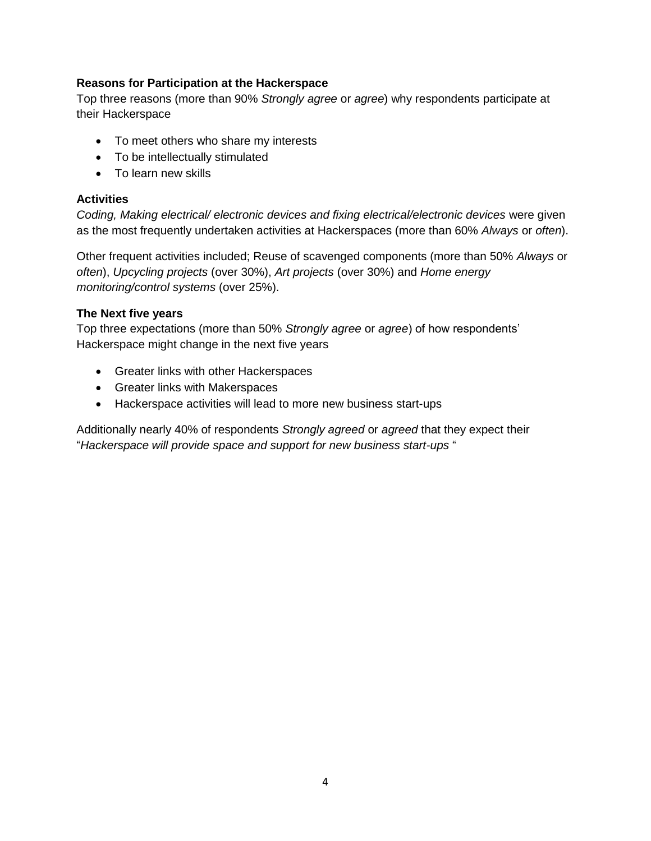#### **Reasons for Participation at the Hackerspace**

Top three reasons (more than 90% *Strongly agree* or *agree*) why respondents participate at their Hackerspace

- To meet others who share my interests
- To be intellectually stimulated
- To learn new skills

#### **Activities**

*Coding, Making electrical/ electronic devices and fixing electrical/electronic devices* were given as the most frequently undertaken activities at Hackerspaces (more than 60% *Always* or *often*).

Other frequent activities included; Reuse of scavenged components (more than 50% *Always* or *often*), *Upcycling projects* (over 30%), *Art projects* (over 30%) and *Home energy monitoring/control systems* (over 25%).

#### **The Next five years**

Top three expectations (more than 50% *Strongly agree* or *agree*) of how respondents' Hackerspace might change in the next five years

- Greater links with other Hackerspaces
- Greater links with Makerspaces
- Hackerspace activities will lead to more new business start-ups

Additionally nearly 40% of respondents *Strongly agreed* or *agreed* that they expect their "*Hackerspace will provide space and support for new business start-ups* "